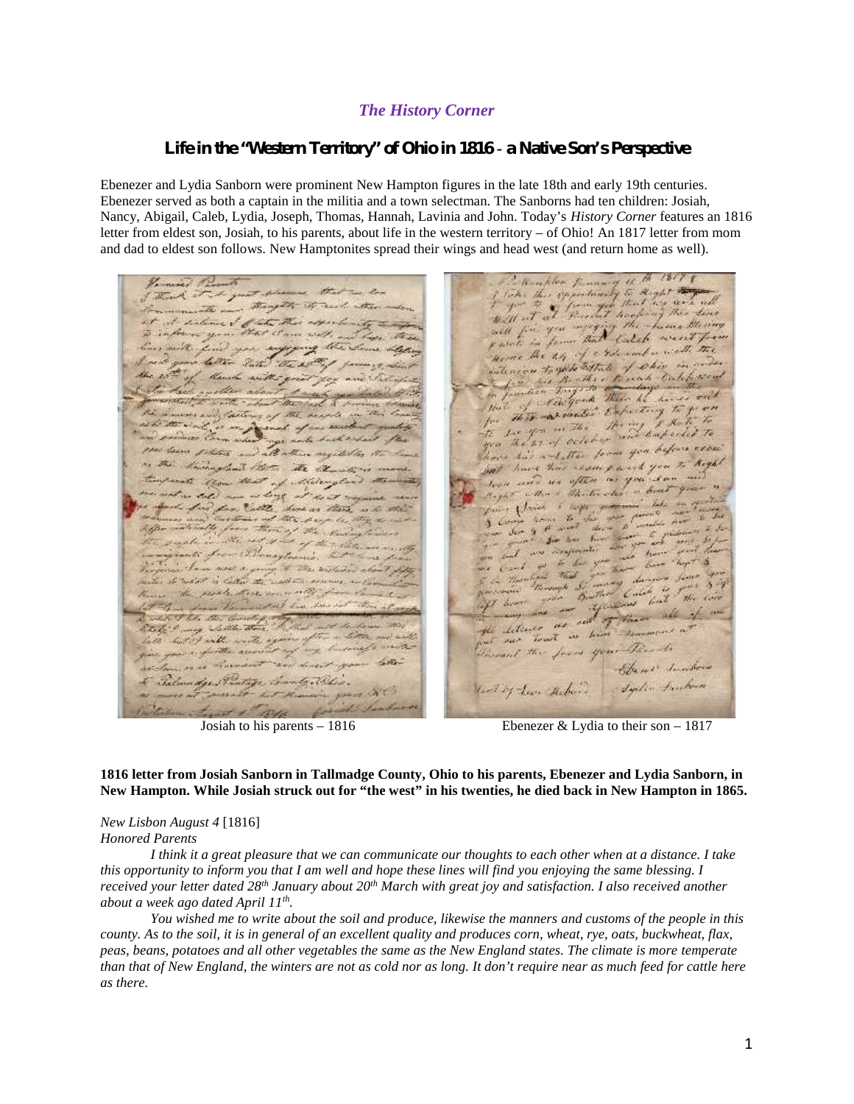## *The History Corner*

## *Life in the "Western Territory" of Ohio in 1816 - a Native Son's Perspective*

Ebenezer and Lydia Sanborn were prominent New Hampton figures in the late 18th and early 19th centuries. Ebenezer served as both a captain in the militia and a town selectman. The Sanborns had ten children: Josiah, Nancy, Abigail, Caleb, Lydia, Joseph, Thomas, Hannah, Lavinia and John. Today's *History Corner* features an 1816 letter from eldest son, Josiah, to his parents, about life in the western territory – of Ohio! An 1817 letter from mom and dad to eldest son follows. New Hamptonites spread their wings and head west (and return home as well).

I lake this expositionity to Reght will be you that there milk. Home the 44 of chile and worth in latter Tarted salencen to give bittale ille. Bullet 15041 here out Green ad these he of the  $\frac{1}{2}$  $_{flow}$ This exceeded Expected  $\mathcal{F}_{\!\!\sigma}$ he you in the Emperies to no of order va The hore his a ditte from you before Searer protection with it but have had recent work Sent Pat SEE X loon and us often as aller & Thetership factory players of  $1.522$ Rund as there as the settle  $\Delta$ . Co Butter Carlo and of them LI Good Salte the Litimer faren  $-1$ will  $M_{\rm{H}}\propto T_{\rm{eff}}$ Jours your Parents Cotta-Same Sunborn Igels Frankers and by Leon Makers 55

Josiah to his parents – 1816 Ebenezer & Lydia to their son – 1817

**1816 letter from Josiah Sanborn in Tallmadge County, Ohio to his parents, Ebenezer and Lydia Sanborn, in New Hampton. While Josiah struck out for "the west" in his twenties, he died back in New Hampton in 1865.**

*New Lisbon August 4* [1816] *Honored Parents*

*I think it a great pleasure that we can communicate our thoughts to each other when at a distance. I take this opportunity to inform you that I am well and hope these lines will find you enjoying the same blessing. I received your letter dated 28th January about 20th March with great joy and satisfaction. I also received another about a week ago dated April 11th .*

*You wished me to write about the soil and produce, likewise the manners and customs of the people in this county. As to the soil, it is in general of an excellent quality and produces corn, wheat, rye, oats, buckwheat, flax, peas, beans, potatoes and all other vegetables the same as the New England states. The climate is more temperate than that of New England, the winters are not as cold nor as long. It don't require near as much feed for cattle here as there.*